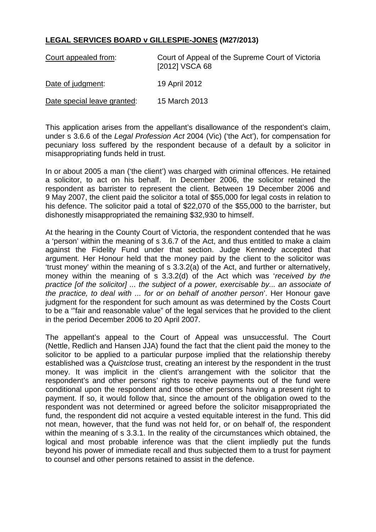## **LEGAL SERVICES BOARD v GILLESPIE-JONES (M27/2013)**

| Court appealed from:        | Court of Appeal of the Supreme Court of Victoria<br>[2012] VSCA 68 |
|-----------------------------|--------------------------------------------------------------------|
| Date of judgment:           | 19 April 2012                                                      |
| Date special leave granted: | 15 March 2013                                                      |

This application arises from the appellant's disallowance of the respondent's claim, under s 3.6.6 of the *Legal Profession Act* 2004 (Vic) ('the Act'), for compensation for pecuniary loss suffered by the respondent because of a default by a solicitor in misappropriating funds held in trust.

In or about 2005 a man ('the client') was charged with criminal offences. He retained a solicitor, to act on his behalf. In December 2006, the solicitor retained the respondent as barrister to represent the client. Between 19 December 2006 and 9 May 2007, the client paid the solicitor a total of \$55,000 for legal costs in relation to his defence. The solicitor paid a total of \$22,070 of the \$55,000 to the barrister, but dishonestly misappropriated the remaining \$32,930 to himself.

At the hearing in the County Court of Victoria, the respondent contended that he was a 'person' within the meaning of s 3.6.7 of the Act, and thus entitled to make a claim against the Fidelity Fund under that section. Judge Kennedy accepted that argument. Her Honour held that the money paid by the client to the solicitor was 'trust money' within the meaning of s 3.3.2(a) of the Act, and further or alternatively, money within the meaning of s 3.3.2(d) of the Act which was '*received by the practice [of the solicitor] ... the subject of a power, exercisable by... an associate of the practice, to deal with ... for or on behalf of another person*'. Her Honour gave judgment for the respondent for such amount as was determined by the Costs Court to be a '"fair and reasonable value" of the legal services that he provided to the client in the period December 2006 to 20 April 2007.

The appellant's appeal to the Court of Appeal was unsuccessful. The Court (Nettle, Redlich and Hansen JJA) found the fact that the client paid the money to the solicitor to be applied to a particular purpose implied that the relationship thereby established was a *Quistclose* trust, creating an interest by the respondent in the trust money. It was implicit in the client's arrangement with the solicitor that the respondent's and other persons' rights to receive payments out of the fund were conditional upon the respondent and those other persons having a present right to payment. If so, it would follow that, since the amount of the obligation owed to the respondent was not determined or agreed before the solicitor misappropriated the fund, the respondent did not acquire a vested equitable interest in the fund. This did not mean, however, that the fund was not held for, or on behalf of, the respondent within the meaning of s 3.3.1. In the reality of the circumstances which obtained, the logical and most probable inference was that the client impliedly put the funds beyond his power of immediate recall and thus subjected them to a trust for payment to counsel and other persons retained to assist in the defence.